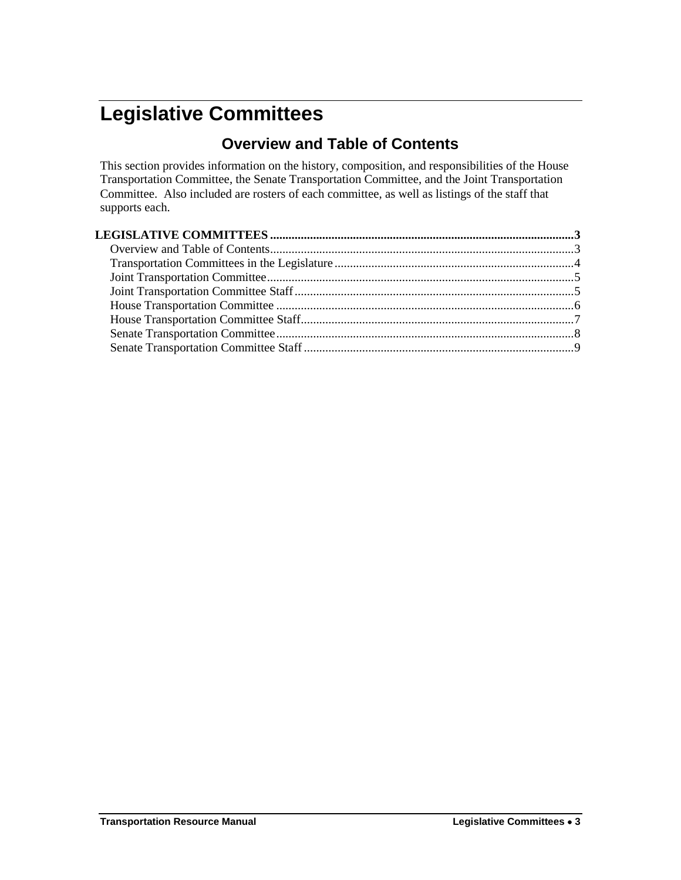# <span id="page-0-1"></span><span id="page-0-0"></span>**Legislative Committees**

### **Overview and Table of Contents**

This section provides information on the history, composition, and responsibilities of the House Transportation Committee, the Senate Transportation Committee, and the Joint Transportation Committee. Also included are rosters of each committee, as well as listings of the staff that supports each.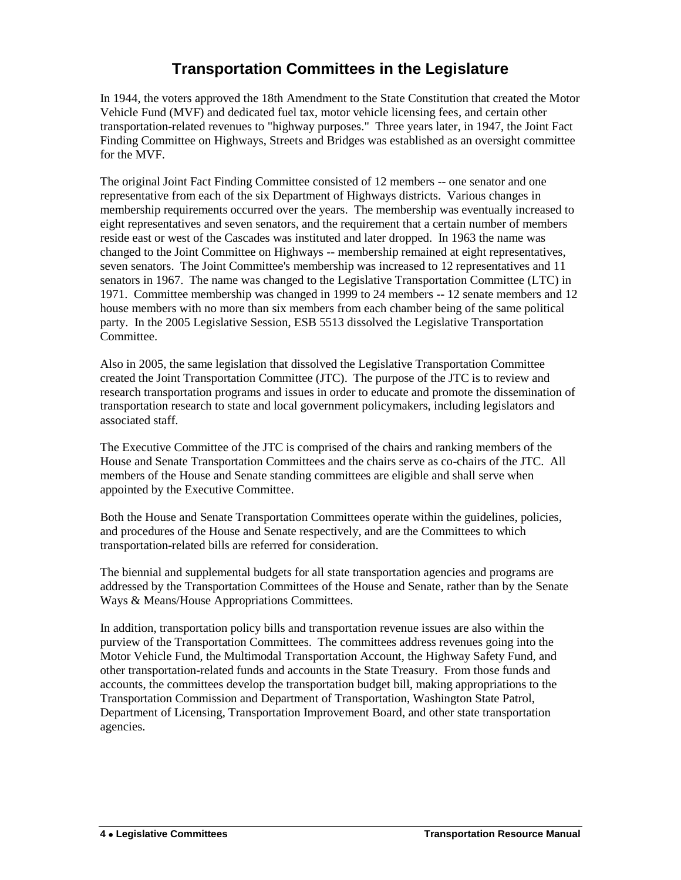### **Transportation Committees in the Legislature**

<span id="page-1-0"></span>In 1944, the voters approved the 18th Amendment to the State Constitution that created the Motor Vehicle Fund (MVF) and dedicated fuel tax, motor vehicle licensing fees, and certain other transportation-related revenues to "highway purposes." Three years later, in 1947, the Joint Fact Finding Committee on Highways, Streets and Bridges was established as an oversight committee for the MVF.

The original Joint Fact Finding Committee consisted of 12 members -- one senator and one representative from each of the six Department of Highways districts. Various changes in membership requirements occurred over the years. The membership was eventually increased to eight representatives and seven senators, and the requirement that a certain number of members reside east or west of the Cascades was instituted and later dropped. In 1963 the name was changed to the Joint Committee on Highways -- membership remained at eight representatives, seven senators. The Joint Committee's membership was increased to 12 representatives and 11 senators in 1967. The name was changed to the Legislative Transportation Committee (LTC) in 1971. Committee membership was changed in 1999 to 24 members -- 12 senate members and 12 house members with no more than six members from each chamber being of the same political party. In the 2005 Legislative Session, ESB 5513 dissolved the Legislative Transportation Committee.

Also in 2005, the same legislation that dissolved the Legislative Transportation Committee created the Joint Transportation Committee (JTC). The purpose of the JTC is to review and research transportation programs and issues in order to educate and promote the dissemination of transportation research to state and local government policymakers, including legislators and associated staff.

The Executive Committee of the JTC is comprised of the chairs and ranking members of the House and Senate Transportation Committees and the chairs serve as co-chairs of the JTC. All members of the House and Senate standing committees are eligible and shall serve when appointed by the Executive Committee.

Both the House and Senate Transportation Committees operate within the guidelines, policies, and procedures of the House and Senate respectively, and are the Committees to which transportation-related bills are referred for consideration.

The biennial and supplemental budgets for all state transportation agencies and programs are addressed by the Transportation Committees of the House and Senate, rather than by the Senate Ways & Means/House Appropriations Committees.

In addition, transportation policy bills and transportation revenue issues are also within the purview of the Transportation Committees. The committees address revenues going into the Motor Vehicle Fund, the Multimodal Transportation Account, the Highway Safety Fund, and other transportation-related funds and accounts in the State Treasury. From those funds and accounts, the committees develop the transportation budget bill, making appropriations to the Transportation Commission and Department of Transportation, Washington State Patrol, Department of Licensing, Transportation Improvement Board, and other state transportation agencies.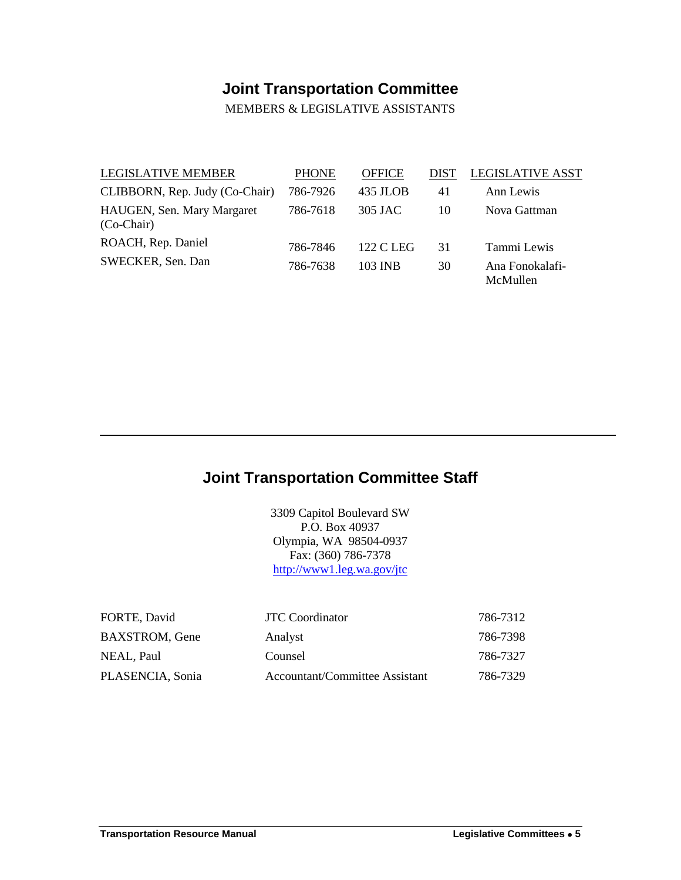# **Joint Transportation Committee**

MEMBERS & LEGISLATIVE ASSISTANTS

<span id="page-2-0"></span>

| <b>LEGISLATIVE MEMBER</b>                  | <b>PHONE</b> | <b>OFFICE</b> | DIST | <b>LEGISLATIVE ASST</b>     |
|--------------------------------------------|--------------|---------------|------|-----------------------------|
| CLIBBORN, Rep. Judy (Co-Chair)             | 786-7926     | 435 JLOB      | 41   | Ann Lewis                   |
| HAUGEN, Sen. Mary Margaret<br>$(Co-Chair)$ | 786-7618     | 305 JAC       | 10   | Nova Gattman                |
| ROACH, Rep. Daniel                         | 786-7846     | 122 C LEG     | 31   | Tammi Lewis                 |
| SWECKER, Sen. Dan                          | 786-7638     | 103 INB       | 30   | Ana Fonokalafi-<br>McMullen |

### <span id="page-2-1"></span>**Joint Transportation Committee Staff**

3309 Capitol Boulevard SW P.O. Box 40937 Olympia, WA 98504-0937 Fax: (360) 786-7378 <http://www1.leg.wa.gov/jtc>

| FORTE, David          | <b>JTC</b> Coordi |
|-----------------------|-------------------|
| <b>BAXSTROM, Gene</b> | Analyst           |
| NEAL, Paul            | Counsel           |
| PLASENCIA, Sonia      | Accountant        |

| FORTE, David     | <b>JTC</b> Coordinator         | 786-7312 |
|------------------|--------------------------------|----------|
| BAXSTROM, Gene   | Analyst                        | 786-7398 |
| NEAL, Paul       | Counsel                        | 786-7327 |
| PLASENCIA, Sonia | Accountant/Committee Assistant | 786-7329 |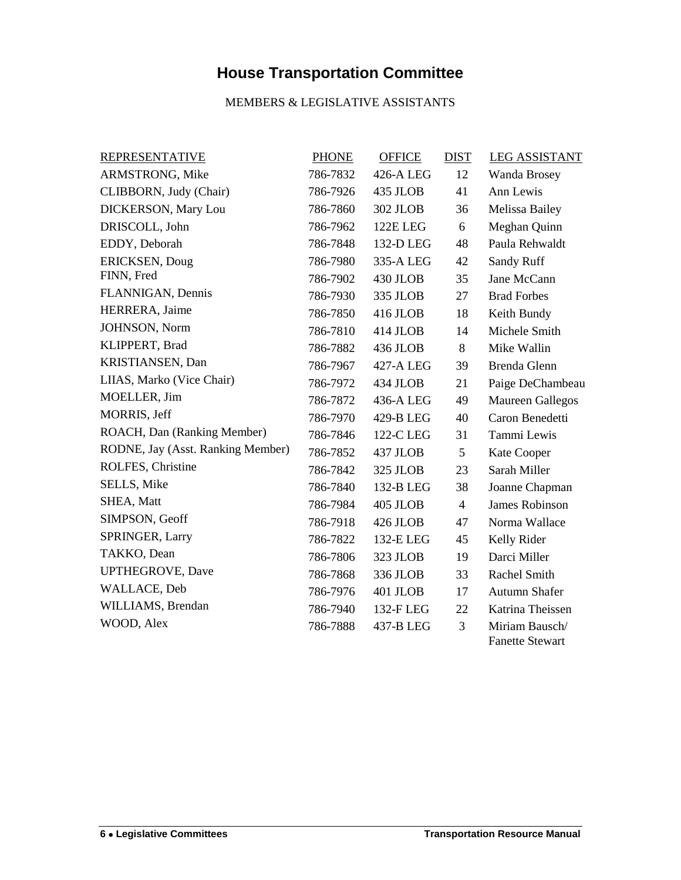# **House Transportation Committee**

#### MEMBERS & LEGISLATIVE ASSISTANTS

<span id="page-3-0"></span>

| <b>REPRESENTATIVE</b>             | <b>PHONE</b> | <b>OFFICE</b> | <b>DIST</b>    | <b>LEG ASSISTANT</b>                     |
|-----------------------------------|--------------|---------------|----------------|------------------------------------------|
| ARMSTRONG, Mike                   | 786-7832     | 426-A LEG     | 12             | Wanda Brosey                             |
| CLIBBORN, Judy (Chair)            | 786-7926     | 435 JLOB      | 41             | Ann Lewis                                |
| <b>DICKERSON, Mary Lou</b>        | 786-7860     | 302 JLOB      | 36             | Melissa Bailey                           |
| DRISCOLL, John                    | 786-7962     | 122E LEG      | 6              | Meghan Quinn                             |
| EDDY, Deborah                     | 786-7848     | 132-D LEG     | 48             | Paula Rehwaldt                           |
| ERICKSEN, Doug                    | 786-7980     | 335-A LEG     | 42             | Sandy Ruff                               |
| FINN, Fred                        | 786-7902     | 430 JLOB      | 35             | Jane McCann                              |
| FLANNIGAN, Dennis                 | 786-7930     | 335 JLOB      | 27             | <b>Brad Forbes</b>                       |
| HERRERA, Jaime                    | 786-7850     | 416 JLOB      | 18             | Keith Bundy                              |
| JOHNSON, Norm                     | 786-7810     | 414 JLOB      | 14             | Michele Smith                            |
| KLIPPERT, Brad                    | 786-7882     | 436 JLOB      | 8              | Mike Wallin                              |
| KRISTIANSEN, Dan                  | 786-7967     | 427-A LEG     | 39             | Brenda Glenn                             |
| LIIAS, Marko (Vice Chair)         | 786-7972     | 434 JLOB      | 21             | Paige DeChambeau                         |
| MOELLER, Jim                      | 786-7872     | 436-A LEG     | 49             | <b>Maureen Gallegos</b>                  |
| MORRIS, Jeff                      | 786-7970     | 429-B LEG     | 40             | Caron Benedetti                          |
| ROACH, Dan (Ranking Member)       | 786-7846     | 122-C LEG     | 31             | Tammi Lewis                              |
| RODNE, Jay (Asst. Ranking Member) | 786-7852     | 437 JLOB      | 5              | Kate Cooper                              |
| ROLFES, Christine                 | 786-7842     | 325 JLOB      | 23             | Sarah Miller                             |
| SELLS, Mike                       | 786-7840     | 132-B LEG     | 38             | Joanne Chapman                           |
| SHEA, Matt                        | 786-7984     | 405 JLOB      | $\overline{4}$ | <b>James Robinson</b>                    |
| SIMPSON, Geoff                    | 786-7918     | 426 JLOB      | 47             | Norma Wallace                            |
| SPRINGER, Larry                   | 786-7822     | 132-E LEG     | 45             | Kelly Rider                              |
| TAKKO, Dean                       | 786-7806     | 323 JLOB      | 19             | Darci Miller                             |
| <b>UPTHEGROVE, Dave</b>           | 786-7868     | 336 JLOB      | 33             | Rachel Smith                             |
| WALLACE, Deb                      | 786-7976     | 401 JLOB      | 17             | Autumn Shafer                            |
| WILLIAMS, Brendan                 | 786-7940     | 132-F LEG     | 22             | Katrina Theissen                         |
| WOOD, Alex                        | 786-7888     | 437-B LEG     | 3              | Miriam Bausch/<br><b>Fanette Stewart</b> |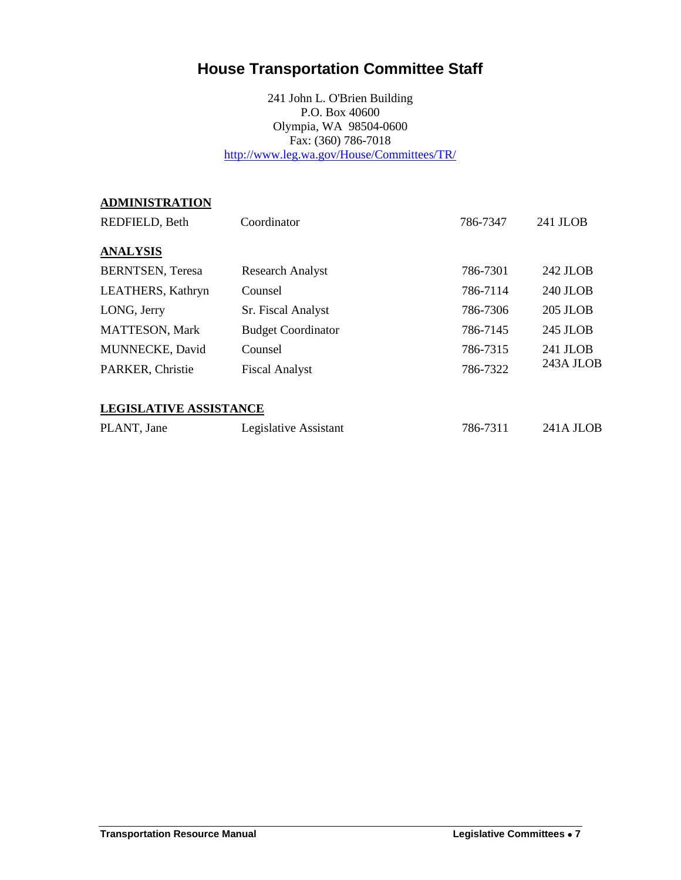### <span id="page-4-0"></span>**House Transportation Committee Staff**

241 John L. O'Brien Building P.O. Box 40600 Olympia, WA 98504-0600 Fax: (360) 786-7018 <http://www.leg.wa.gov/House/Committees/TR/>

| <b>ADMINISTRATION</b>         |                           |          |           |
|-------------------------------|---------------------------|----------|-----------|
| REDFIELD, Beth                | Coordinator               | 786-7347 | 241 JLOB  |
| <b>ANALYSIS</b>               |                           |          |           |
|                               |                           |          |           |
| <b>BERNTSEN</b> , Teresa      | <b>Research Analyst</b>   | 786-7301 | 242 JLOB  |
| LEATHERS, Kathryn             | Counsel                   | 786-7114 | 240 JLOB  |
| LONG, Jerry                   | Sr. Fiscal Analyst        | 786-7306 | 205 JLOB  |
| <b>MATTESON, Mark</b>         | <b>Budget Coordinator</b> | 786-7145 | 245 JLOB  |
| MUNNECKE, David               | Counsel                   | 786-7315 | 241 JLOB  |
| PARKER, Christie              | <b>Fiscal Analyst</b>     | 786-7322 | 243A JLOB |
|                               |                           |          |           |
| <b>LEGISLATIVE ASSISTANCE</b> |                           |          |           |
| PLANT, Jane                   | Legislative Assistant     | 786-7311 | 241A JLOB |
|                               |                           |          |           |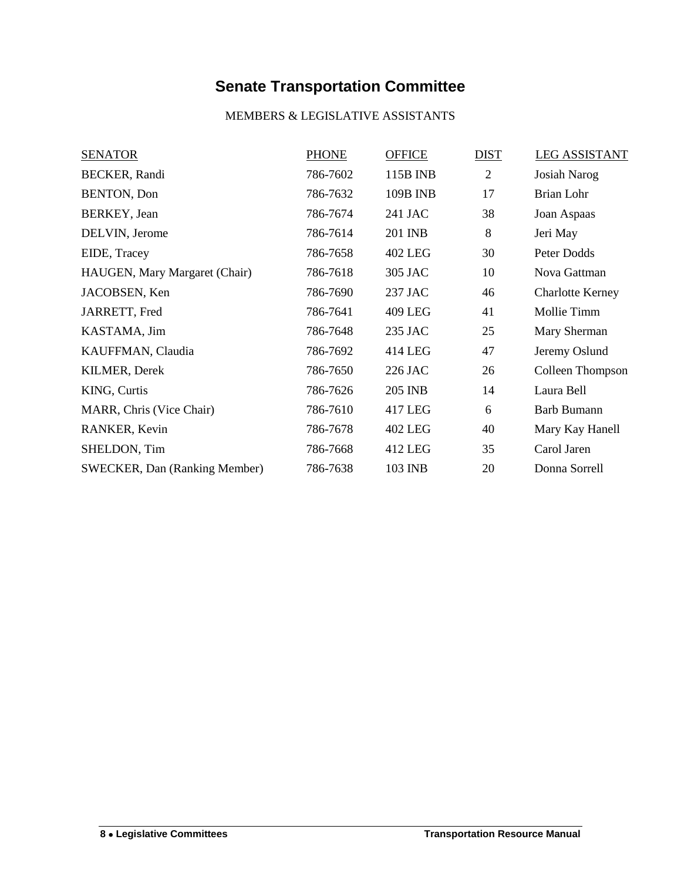# **Senate Transportation Committee**

#### MEMBERS & LEGISLATIVE ASSISTANTS

<span id="page-5-0"></span>

| <b>SENATOR</b>                       | <b>PHONE</b> | <b>OFFICE</b>   | <b>DIST</b>    | <b>LEG ASSISTANT</b>    |
|--------------------------------------|--------------|-----------------|----------------|-------------------------|
| <b>BECKER</b> , Randi                | 786-7602     | 115B INB        | $\overline{2}$ | <b>Josiah Narog</b>     |
| <b>BENTON, Don</b>                   | 786-7632     | <b>109B INB</b> | 17             | Brian Lohr              |
| BERKEY, Jean                         | 786-7674     | 241 JAC         | 38             | Joan Aspaas             |
| DELVIN, Jerome                       | 786-7614     | 201 INB         | 8              | Jeri May                |
| EIDE, Tracey                         | 786-7658     | <b>402 LEG</b>  | 30             | Peter Dodds             |
| HAUGEN, Mary Margaret (Chair)        | 786-7618     | 305 JAC         | 10             | Nova Gattman            |
| JACOBSEN, Ken                        | 786-7690     | 237 JAC         | 46             | <b>Charlotte Kerney</b> |
| JARRETT, Fred                        | 786-7641     | 409 LEG         | 41             | Mollie Timm             |
| KASTAMA, Jim                         | 786-7648     | 235 JAC         | 25             | Mary Sherman            |
| KAUFFMAN, Claudia                    | 786-7692     | 414 LEG         | 47             | Jeremy Oslund           |
| <b>KILMER, Derek</b>                 | 786-7650     | 226 JAC         | 26             | Colleen Thompson        |
| KING, Curtis                         | 786-7626     | 205 INB         | 14             | Laura Bell              |
| MARR, Chris (Vice Chair)             | 786-7610     | 417 LEG         | 6              | <b>Barb Bumann</b>      |
| RANKER, Kevin                        | 786-7678     | <b>402 LEG</b>  | 40             | Mary Kay Hanell         |
| SHELDON, Tim                         | 786-7668     | 412 LEG         | 35             | Carol Jaren             |
| <b>SWECKER, Dan (Ranking Member)</b> | 786-7638     | 103 INB         | 20             | Donna Sorrell           |